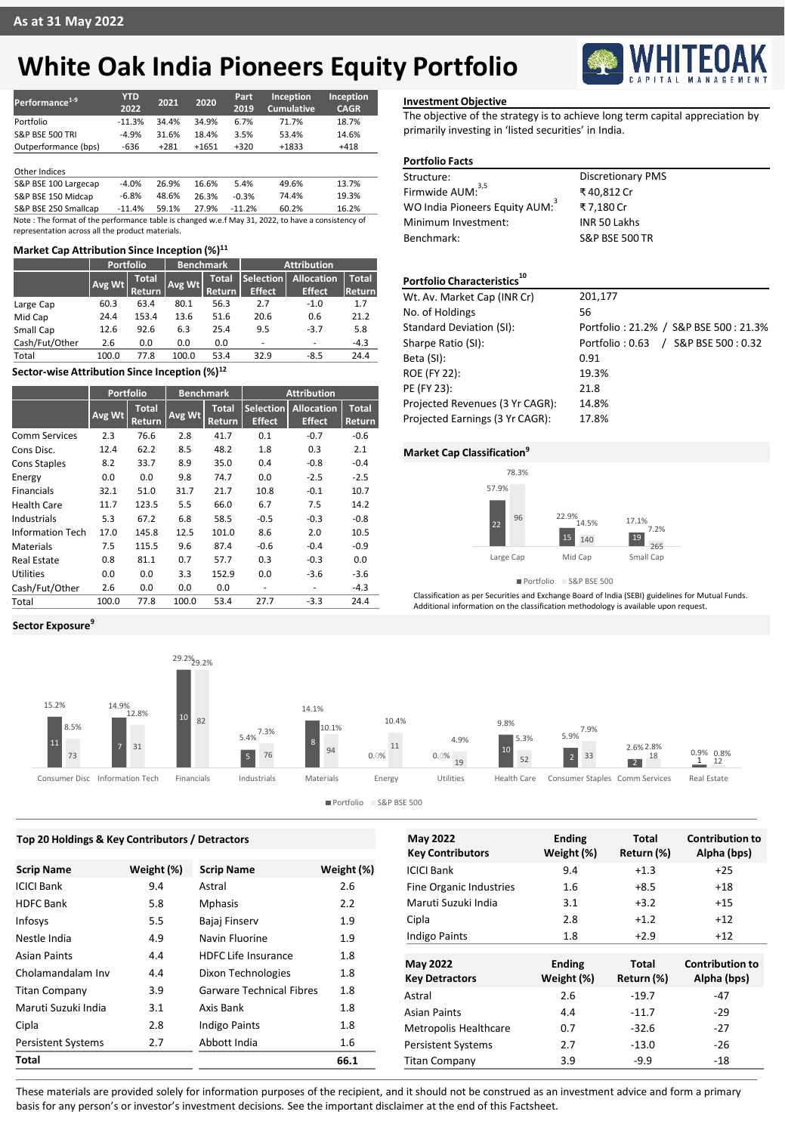# **White Oak India Pioneers Equity Portfolio**

| Performance <sup>1-9</sup> | YTD<br>2022 | 2021   | 2020    | Part<br>2019 | Inception<br><b>Cumulative</b> | <b>Inception</b><br><b>CAGR</b> |
|----------------------------|-------------|--------|---------|--------------|--------------------------------|---------------------------------|
| Portfolio                  | $-11.3%$    | 34.4%  | 34.9%   | 6.7%         | 71.7%                          | 18.7%                           |
| <b>S&amp;P BSE 500 TRI</b> | $-4.9%$     | 31.6%  | 18.4%   | 3.5%         | 53.4%                          | 14.6%                           |
| Outperformance (bps)       | -636        | $+281$ | $+1651$ | $+320$       | $+1833$                        | $+418$                          |

### Other Indices

S&P BSE 100 Largecap -4.0% 26.9% 16.6% 5.4% 49.6% 13.7% S&P BSE 150 Midcap -6.8% 48.6% 26.3% -0.3% 74.4% 19.3%<br>S&P BSE 250 Smallcap -11.4% 59.1% 27.9% -11.2% 60.2% 16.2% S&P BSE 250 Smallcap

Note : The format of the performance table is changed w.e.f May 31, 2022, to have a consistency of representation across all the product materials.

### **Market Cap Attribution Since Inception (%)<sup>11</sup>**

|                | Portfolio              |               | <b>Benchmark</b> |              | <b>Attribution</b> |                          |              |  |
|----------------|------------------------|---------------|------------------|--------------|--------------------|--------------------------|--------------|--|
|                | <b>Total</b><br>Avg Wt |               | Avg Wt           | <b>Total</b> | Selection          | <b>Allocation</b>        | <b>Total</b> |  |
|                |                        | <b>Return</b> |                  | Return       | <b>Effect</b>      | <b>Effect</b>            | Return       |  |
| Large Cap      | 60.3                   | 63.4          | 80.1             | 56.3         | 2.7                | $-1.0$                   | 1.7          |  |
| Mid Cap        | 24.4                   | 153.4         | 13.6             | 51.6         | 20.6               | 0.6                      | 21.2         |  |
| Small Cap      | 12.6                   | 92.6          | 6.3              | 25.4         | 9.5                | $-3.7$                   | 5.8          |  |
| Cash/Fut/Other | 2.6                    | 0.0           | 0.0              | 0.0          | ٠                  | $\overline{\phantom{0}}$ | $-4.3$       |  |
| Total          | 100.0                  | 77.8          | 100.0            | 53.4         | 32.9               | $-8.5$                   | 24.4         |  |

### **Sector-wise Attribution Since Inception (%)<sup>12</sup>**

|                         | <b>Portfolio</b> |                        | <b>Benchmark</b> |                        | <b>Attribution</b>                |                             |                        |
|-------------------------|------------------|------------------------|------------------|------------------------|-----------------------------------|-----------------------------|------------------------|
|                         | Avg Wt           | <b>Total</b><br>Return | Avg Wt           | <b>Total</b><br>Return | <b>Selection</b><br><b>Effect</b> | Allocation<br><b>Effect</b> | <b>Total</b><br>Return |
| Comm Services           | 2.3              | 76.6                   | 2.8              | 41.7                   | 0.1                               | $-0.7$                      | $-0.6$                 |
| Cons Disc.              | 12.4             | 62.2                   | 8.5              | 48.2                   | 1.8                               | 0.3                         | 2.1                    |
| <b>Cons Staples</b>     | 8.2              | 33.7                   | 8.9              | 35.0                   | 0.4                               | $-0.8$                      | $-0.4$                 |
| Energy                  | 0.0              | 0.0                    | 9.8              | 74.7                   | 0.0                               | $-2.5$                      | $-2.5$                 |
| <b>Financials</b>       | 32.1             | 51.0                   | 31.7             | 21.7                   | 10.8                              | $-0.1$                      | 10.7                   |
| <b>Health Care</b>      | 11.7             | 123.5                  | 5.5              | 66.0                   | 6.7                               | 7.5                         | 14.2                   |
| Industrials             | 5.3              | 67.2                   | 6.8              | 58.5                   | $-0.5$                            | $-0.3$                      | $-0.8$                 |
| <b>Information Tech</b> | 17.0             | 145.8                  | 12.5             | 101.0                  | 8.6                               | 2.0                         | 10.5                   |
| Materials               | 7.5              | 115.5                  | 9.6              | 87.4                   | $-0.6$                            | $-0.4$                      | $-0.9$                 |
| Real Estate             | 0.8              | 81.1                   | 0.7              | 57.7                   | 0.3                               | $-0.3$                      | 0.0                    |
| Utilities               | 0.0              | 0.0                    | 3.3              | 152.9                  | 0.0                               | $-3.6$                      | $-3.6$                 |
| Cash/Fut/Other          | 2.6              | 0.0                    | 0.0              | 0.0                    | ٠                                 | ۰                           | $-4.3$                 |
| Total                   | 100.0            | 77.8                   | 100.0            | 53.4                   | 27.7                              | $-3.3$                      | 24.4                   |

**Sector Exposure<sup>9</sup>**



The objective of the strategy is to achieve long term capital appreciation by primarily investing in 'listed securities' in India.

### **Portfolio Facts**

| Structure:                                 | <b>Discretionary PMS</b>  |
|--------------------------------------------|---------------------------|
| Firmwide AUM: <sup>3,5</sup>               | ₹40.812 Cr                |
| WO India Pioneers Equity AUM: <sup>3</sup> | ₹7.180 Cr                 |
| Minimum Investment:                        | INR 50 Lakhs              |
| Benchmark:                                 | <b>S&amp;P BSE 500 TR</b> |
|                                            |                           |
|                                            |                           |

## **Portfolio Characteristics<sup>10</sup>**

| Wt. Av. Market Cap (INR Cr)     | 201,177                               |
|---------------------------------|---------------------------------------|
| No. of Holdings                 | 56                                    |
| <b>Standard Deviation (SI):</b> | Portfolio: 21.2% / S&P BSE 500: 21.3% |
| Sharpe Ratio (SI):              | Portfolio: 0.63 / S&P BSE 500: 0.32   |
| Beta (SI):                      | 0.91                                  |
| <b>ROE (FY 22):</b>             | 19.3%                                 |
| PE (FY 23):                     | 21.8                                  |
| Projected Revenues (3 Yr CAGR): | 14.8%                                 |
| Projected Earnings (3 Yr CAGR): | 17.8%                                 |
|                                 |                                       |

### **Market Cap Classification<sup>9</sup>**



Portfolio S&P BSE 500

Classification as per Securities and Exchange Board of India (SEBI) guidelines for Mutual Funds. Additional information on the classification methodology is available upon request.



| Top 20 Holdings & Key Contributors / Detractors |            |                                 |            | <b>May 2022</b>              | <b>Ending</b> | <b>Total</b> | <b>Contribution to</b> |
|-------------------------------------------------|------------|---------------------------------|------------|------------------------------|---------------|--------------|------------------------|
|                                                 |            |                                 |            | <b>Key Contributors</b>      | Weight (%)    | Return (%)   | Alpha (bps)            |
| <b>Scrip Name</b>                               | Weight (%) | <b>Scrip Name</b>               | Weight (%) | <b>ICICI Bank</b>            | 9.4           | $+1.3$       | $+25$                  |
| ICICI Bank                                      | 9.4        | Astral                          | 2.6        | Fine Organic Industries      | 1.6           | $+8.5$       | $+18$                  |
| <b>HDFC Bank</b>                                | 5.8        | <b>Mphasis</b>                  | 2.2        | Maruti Suzuki India          | 3.1           | $+3.2$       | $+15$                  |
| Infosys                                         | 5.5        | Bajaj Finserv                   | 1.9        | Cipla                        | 2.8           | $+1.2$       | $+12$                  |
| Nestle India                                    | 4.9        | Navin Fluorine                  | 1.9        | <b>Indigo Paints</b>         | 1.8           | $+2.9$       | $+12$                  |
| Asian Paints                                    | 4.4        | <b>HDFC Life Insurance</b>      | 1.8        | <b>May 2022</b>              | <b>Ending</b> | <b>Total</b> | <b>Contribution to</b> |
| Cholamandalam Inv                               | 4.4        | Dixon Technologies              | 1.8        | <b>Key Detractors</b>        | Weight (%)    | Return (%)   | Alpha (bps)            |
| <b>Titan Company</b>                            | 3.9        | <b>Garware Technical Fibres</b> | 1.8        | Astral                       | 2.6           | $-19.7$      | $-47$                  |
| Maruti Suzuki India                             | 3.1        | Axis Bank                       | 1.8        | <b>Asian Paints</b>          | 4.4           | $-11.7$      | $-29$                  |
| Cipla                                           | 2.8        | <b>Indigo Paints</b>            | 1.8        | <b>Metropolis Healthcare</b> | 0.7           | $-32.6$      | $-27$                  |
| <b>Persistent Systems</b>                       | 2.7        | Abbott India                    | 1.6        | <b>Persistent Systems</b>    | 2.7           | $-13.0$      | $-26$                  |
| Total                                           |            |                                 | 66.1       | <b>Titan Company</b>         | 3.9           | $-9.9$       | $-18$                  |
|                                                 |            |                                 |            |                              |               |              |                        |

These materials are provided solely for information purposes of the recipient, and it should not be construed as an investment advice and form a primary basis for any person's or investor's investment decisions. See the important disclaimer at the end of this Factsheet.